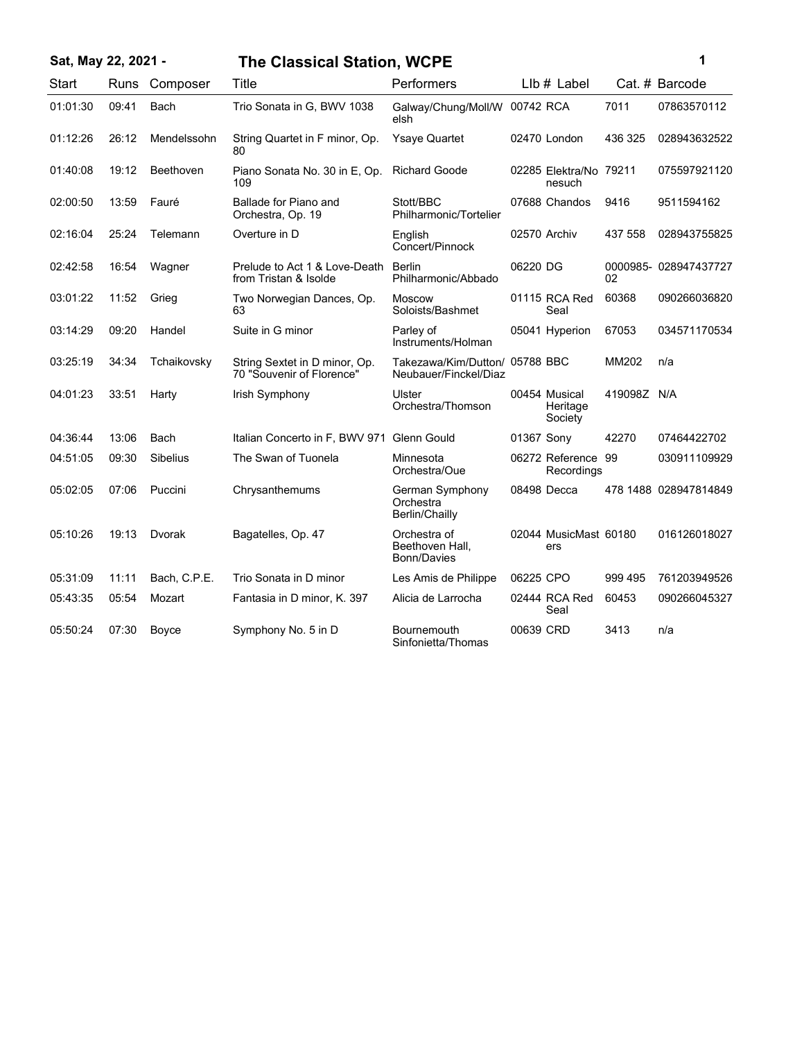### **Sat, May 22, 2021 - 1 The Classical Station, WCPE**

|   | ٦ |  |
|---|---|--|
| I |   |  |
|   |   |  |
|   |   |  |

| <b>Start</b> | Runs  | Composer        | <b>Title</b>                                               | Performers                                              |            | Llb # Label                          |             | Cat. # Barcode        |
|--------------|-------|-----------------|------------------------------------------------------------|---------------------------------------------------------|------------|--------------------------------------|-------------|-----------------------|
| 01:01:30     | 09:41 | Bach            | Trio Sonata in G, BWV 1038                                 | Galway/Chung/Moll/W<br>elsh                             | 00742 RCA  |                                      | 7011        | 07863570112           |
| 01:12:26     | 26:12 | Mendelssohn     | String Quartet in F minor, Op.<br>80                       | <b>Ysaye Quartet</b>                                    |            | 02470 London                         | 436 325     | 028943632522          |
| 01:40:08     | 19:12 | Beethoven       | Piano Sonata No. 30 in E, Op.<br>109                       | <b>Richard Goode</b>                                    |            | 02285 Elektra/No 79211<br>nesuch     |             | 075597921120          |
| 02:00:50     | 13:59 | Fauré           | Ballade for Piano and<br>Orchestra, Op. 19                 | Stott/BBC<br>Philharmonic/Tortelier                     |            | 07688 Chandos                        | 9416        | 9511594162            |
| 02:16:04     | 25:24 | Telemann        | Overture in D                                              | English<br>Concert/Pinnock                              |            | 02570 Archiv                         | 437 558     | 028943755825          |
| 02:42:58     | 16:54 | Wagner          | Prelude to Act 1 & Love-Death<br>from Tristan & Isolde     | <b>Berlin</b><br>Philharmonic/Abbado                    | 06220 DG   |                                      | 02          | 0000985-028947437727  |
| 03:01:22     | 11:52 | Grieg           | Two Norwegian Dances, Op.<br>63                            | <b>Moscow</b><br>Soloists/Bashmet                       |            | 01115 RCA Red<br>Seal                | 60368       | 090266036820          |
| 03:14:29     | 09:20 | Handel          | Suite in G minor                                           | Parley of<br>Instruments/Holman                         |            | 05041 Hyperion                       | 67053       | 034571170534          |
| 03:25:19     | 34:34 | Tchaikovsky     | String Sextet in D minor, Op.<br>70 "Souvenir of Florence" | Takezawa/Kim/Dutton/ 05788 BBC<br>Neubauer/Finckel/Diaz |            |                                      | MM202       | n/a                   |
| 04:01:23     | 33:51 | Harty           | Irish Symphony                                             | Ulster<br>Orchestra/Thomson                             |            | 00454 Musical<br>Heritage<br>Society | 419098Z N/A |                       |
| 04:36:44     | 13:06 | Bach            | Italian Concerto in F. BWV 971 Glenn Gould                 |                                                         | 01367 Sony |                                      | 42270       | 07464422702           |
| 04:51:05     | 09:30 | <b>Sibelius</b> | The Swan of Tuonela                                        | Minnesota<br>Orchestra/Oue                              |            | 06272 Reference 99<br>Recordings     |             | 030911109929          |
| 05:02:05     | 07:06 | Puccini         | Chrysanthemums                                             | German Symphony<br>Orchestra<br>Berlin/Chailly          |            | 08498 Decca                          |             | 478 1488 028947814849 |
| 05:10:26     | 19:13 | Dvorak          | Bagatelles, Op. 47                                         | Orchestra of<br>Beethoven Hall,<br><b>Bonn/Davies</b>   |            | 02044 MusicMast 60180<br>ers         |             | 016126018027          |
| 05:31:09     | 11:11 | Bach, C.P.E.    | Trio Sonata in D minor                                     | Les Amis de Philippe                                    | 06225 CPO  |                                      | 999 495     | 761203949526          |
| 05:43:35     | 05:54 | Mozart          | Fantasia in D minor, K. 397                                | Alicia de Larrocha                                      |            | 02444 RCA Red<br>Seal                | 60453       | 090266045327          |
| 05:50:24     | 07:30 | Boyce           | Symphony No. 5 in D                                        | Bournemouth<br>Sinfonietta/Thomas                       | 00639 CRD  |                                      | 3413        | n/a                   |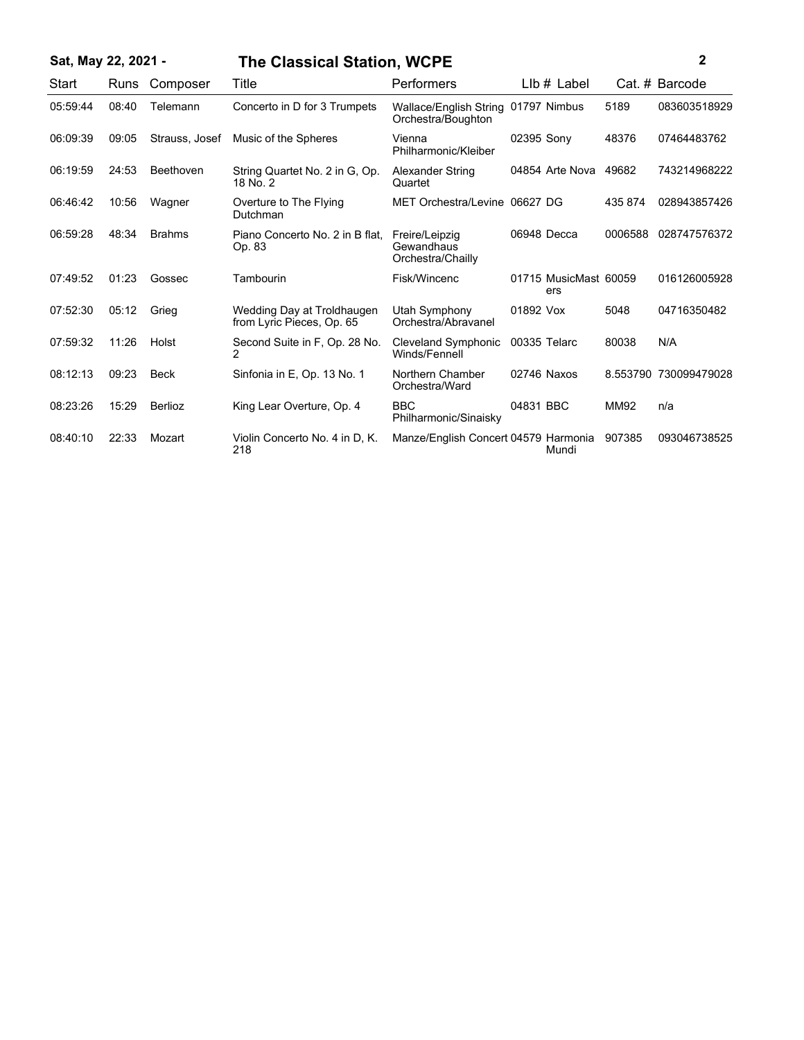| Sat, May 22, 2021 - |       |                | <b>The Classical Station, WCPE</b>                      |                                                           |                              |         |                       |
|---------------------|-------|----------------|---------------------------------------------------------|-----------------------------------------------------------|------------------------------|---------|-----------------------|
| Start               | Runs  | Composer       | Title                                                   | <b>Performers</b>                                         | $Llb#$ Label                 |         | Cat. # Barcode        |
| 05:59:44            | 08:40 | Telemann       | Concerto in D for 3 Trumpets                            | Wallace/English String 01797 Nimbus<br>Orchestra/Boughton |                              | 5189    | 083603518929          |
| 06:09:39            | 09:05 | Strauss, Josef | Music of the Spheres                                    | Vienna<br>Philharmonic/Kleiber                            | 02395 Sony                   | 48376   | 07464483762           |
| 06:19:59            | 24:53 | Beethoven      | String Quartet No. 2 in G, Op.<br>18 No. 2              | Alexander String<br>Quartet                               | 04854 Arte Nova 49682        |         | 743214968222          |
| 06:46:42            | 10:56 | Wagner         | Overture to The Flying<br>Dutchman                      | MET Orchestra/Levine 06627 DG                             |                              | 435 874 | 028943857426          |
| 06:59:28            | 48:34 | <b>Brahms</b>  | Piano Concerto No. 2 in B flat.<br>Op. 83               | Freire/Leipzig<br>Gewandhaus<br>Orchestra/Chailly         | 06948 Decca                  | 0006588 | 028747576372          |
| 07:49:52            | 01:23 | Gossec         | Tambourin                                               | Fisk/Wincenc                                              | 01715 MusicMast 60059<br>ers |         | 016126005928          |
| 07:52:30            | 05:12 | Grieg          | Wedding Day at Troldhaugen<br>from Lyric Pieces, Op. 65 | Utah Symphony<br>Orchestra/Abravanel                      | 01892 Vox                    | 5048    | 04716350482           |
| 07:59:32            | 11:26 | Holst          | Second Suite in F, Op. 28 No.<br>2                      | Cleveland Symphonic<br>Winds/Fennell                      | 00335 Telarc                 | 80038   | N/A                   |
| 08:12:13            | 09:23 | <b>Beck</b>    | Sinfonia in E, Op. 13 No. 1                             | Northern Chamber<br>Orchestra/Ward                        | 02746 Naxos                  |         | 8.553790 730099479028 |
| 08:23:26            | 15:29 | <b>Berlioz</b> | King Lear Overture, Op. 4                               | <b>BBC</b><br>Philharmonic/Sinaisky                       | 04831 BBC                    | MM92    | n/a                   |
| 08:40:10            | 22:33 | Mozart         | Violin Concerto No. 4 in D. K.<br>218                   | Manze/English Concert 04579 Harmonia                      | Mundi                        | 907385  | 093046738525          |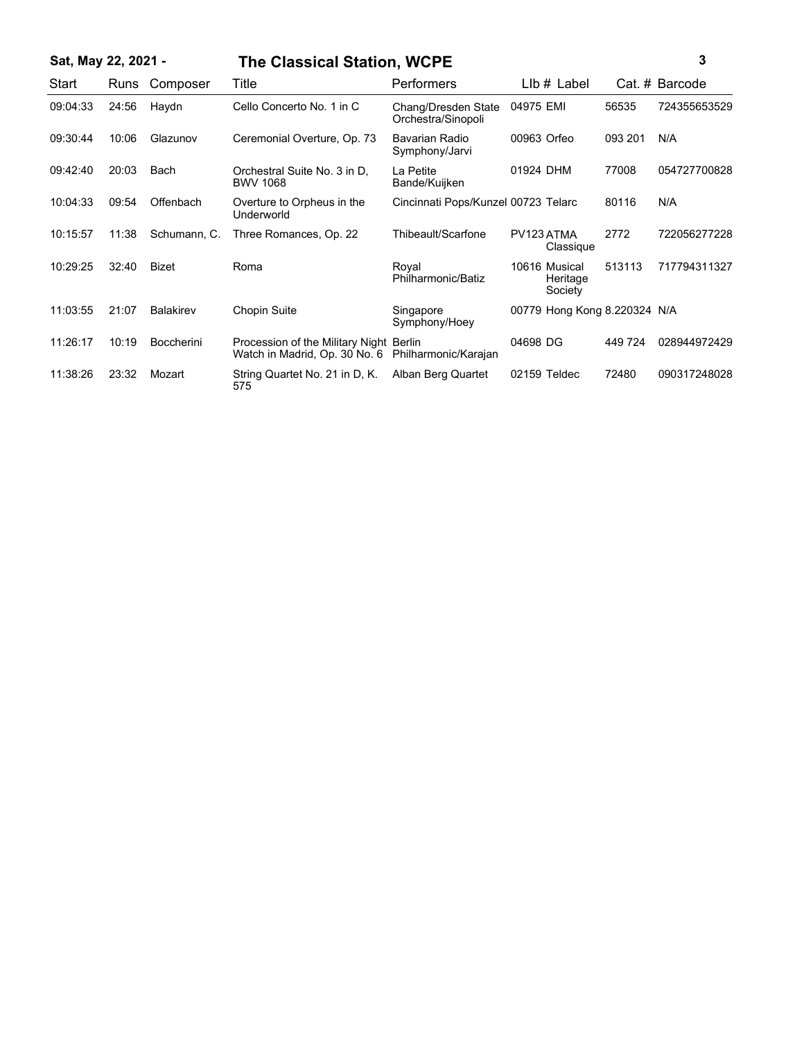## **Sat, May 22, 2021 - 3 The Classical Station, WCPE**

| Start    | Runs  | Composer          | Title                                                                    | Performers                                | LIb # Label                          |         | Cat. # Barcode |
|----------|-------|-------------------|--------------------------------------------------------------------------|-------------------------------------------|--------------------------------------|---------|----------------|
| 09:04:33 | 24:56 | Haydn             | Cello Concerto No. 1 in C                                                | Chang/Dresden State<br>Orchestra/Sinopoli | 04975 EMI                            | 56535   | 724355653529   |
| 09:30:44 | 10:06 | Glazunov          | Ceremonial Overture, Op. 73                                              | Bavarian Radio<br>Symphony/Jarvi          | 00963 Orfeo                          | 093 201 | N/A            |
| 09:42:40 | 20:03 | <b>Bach</b>       | Orchestral Suite No. 3 in D.<br><b>BWV 1068</b>                          | La Petite<br>Bande/Kuijken                | 01924 DHM                            | 77008   | 054727700828   |
| 10:04:33 | 09:54 | Offenbach         | Overture to Orpheus in the<br>Underworld                                 | Cincinnati Pops/Kunzel 00723 Telarc       |                                      | 80116   | N/A            |
| 10:15:57 | 11:38 | Schumann, C.      | Three Romances, Op. 22                                                   | Thibeault/Scarfone                        | PV123 ATMA<br>Classique              | 2772    | 722056277228   |
| 10:29:25 | 32:40 | <b>Bizet</b>      | Roma                                                                     | Royal<br>Philharmonic/Batiz               | 10616 Musical<br>Heritage<br>Society | 513113  | 717794311327   |
| 11:03:55 | 21:07 | <b>Balakirev</b>  | Chopin Suite                                                             | Singapore<br>Symphony/Hoey                | 00779 Hong Kong 8.220324 N/A         |         |                |
| 11:26:17 | 10:19 | <b>Boccherini</b> | Procession of the Military Night Berlin<br>Watch in Madrid, Op. 30 No. 6 | Philharmonic/Karajan                      | 04698 DG                             | 449 724 | 028944972429   |
| 11:38:26 | 23:32 | Mozart            | String Quartet No. 21 in D. K.<br>575                                    | Alban Berg Quartet                        | 02159 Teldec                         | 72480   | 090317248028   |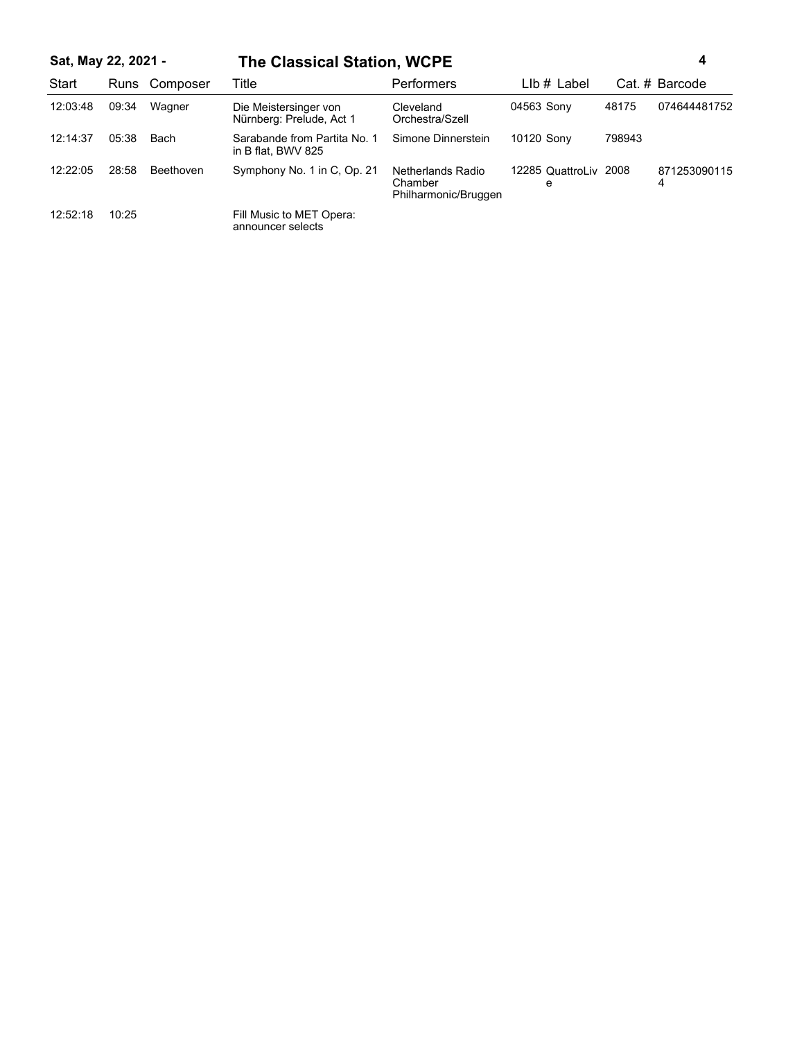# **Sat, May 22, 2021 - 4 The Classical Station, WCPE**

| Start    | Runs  | Composer  | Title                                              | <b>Performers</b>                                    | $Llb \#$ Label             |        | Cat. # Barcode    |
|----------|-------|-----------|----------------------------------------------------|------------------------------------------------------|----------------------------|--------|-------------------|
| 12:03:48 | 09:34 | Wagner    | Die Meistersinger von<br>Nürnberg: Prelude, Act 1  | Cleveland<br>Orchestra/Szell                         | 04563 Sony                 | 48175  | 074644481752      |
| 12:14:37 | 05:38 | Bach      | Sarabande from Partita No. 1<br>in B flat, BWV 825 | Simone Dinnerstein                                   | 10120 Sony                 | 798943 |                   |
| 12:22:05 | 28:58 | Beethoven | Symphony No. 1 in C, Op. 21                        | Netherlands Radio<br>Chamber<br>Philharmonic/Bruggen | 12285 QuattroLiv 2008<br>e |        | 871253090115<br>4 |
| 12:52:18 | 10:25 |           | Fill Music to MET Opera:<br>announcer selects      |                                                      |                            |        |                   |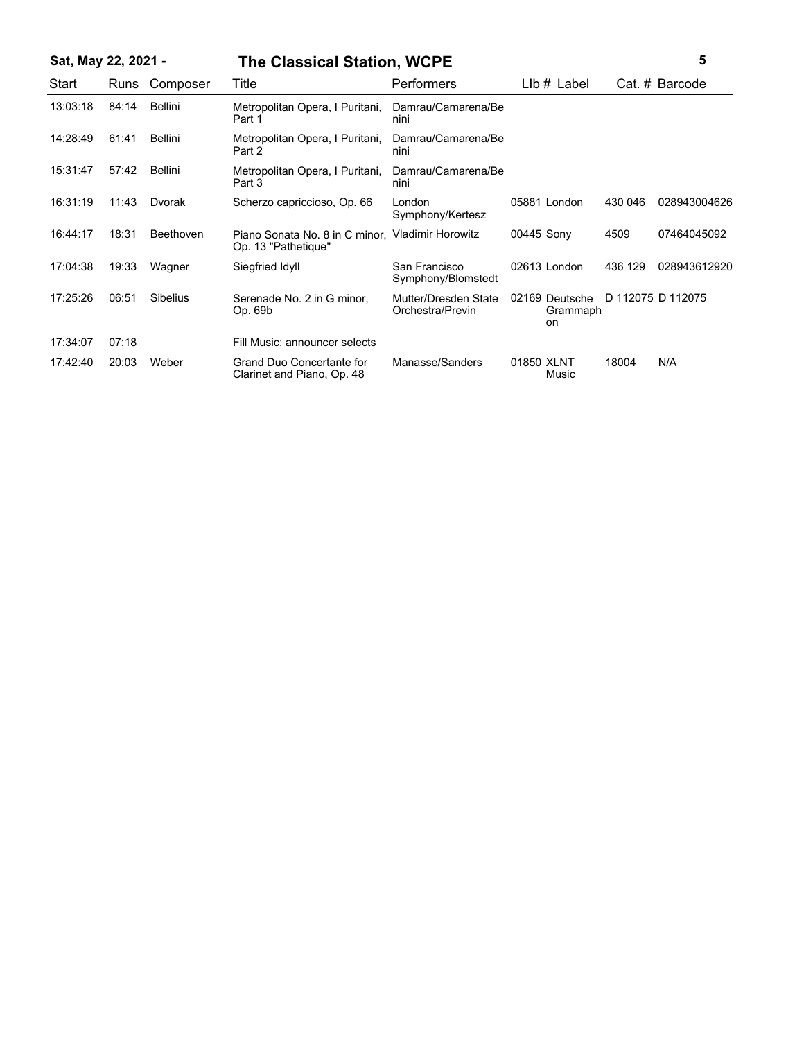| Sat, May 22, 2021 - |       |                 | <b>The Classical Station, WCPE</b>                                      |                                          |            |                                         |         | 5                 |
|---------------------|-------|-----------------|-------------------------------------------------------------------------|------------------------------------------|------------|-----------------------------------------|---------|-------------------|
| Start               | Runs  | Composer        | Title                                                                   | Performers                               |            | $Llb \#$ Label                          |         | Cat. # Barcode    |
| 13:03:18            | 84:14 | Bellini         | Metropolitan Opera, I Puritani,<br>Part 1                               | Damrau/Camarena/Be<br>nini               |            |                                         |         |                   |
| 14:28:49            | 61:41 | Bellini         | Metropolitan Opera, I Puritani,<br>Part 2                               | Damrau/Camarena/Be<br>nini               |            |                                         |         |                   |
| 15:31:47            | 57:42 | Bellini         | Metropolitan Opera, I Puritani,<br>Part 3                               | Damrau/Camarena/Be<br>nini               |            |                                         |         |                   |
| 16:31:19            | 11:43 | Dvorak          | Scherzo capriccioso, Op. 66                                             | London<br>Symphony/Kertesz               |            | 05881 London                            | 430 046 | 028943004626      |
| 16:44:17            | 18:31 | Beethoven       | Piano Sonata No. 8 in C minor, Vladimir Horowitz<br>Op. 13 "Pathetique" |                                          | 00445 Sony |                                         | 4509    | 07464045092       |
| 17:04:38            | 19:33 | Wagner          | Siegfried Idyll                                                         | San Francisco<br>Symphony/Blomstedt      |            | 02613 London                            | 436 129 | 028943612920      |
| 17:25:26            | 06:51 | <b>Sibelius</b> | Serenade No. 2 in G minor,<br>Op. 69b                                   | Mutter/Dresden State<br>Orchestra/Previn |            | 02169 Deutsche<br>Grammaph<br><b>on</b> |         | D 112075 D 112075 |
| 17:34:07            | 07:18 |                 | Fill Music: announcer selects                                           |                                          |            |                                         |         |                   |
| 17:42:40            | 20:03 | Weber           | <b>Grand Duo Concertante for</b><br>Clarinet and Piano, Op. 48          | Manasse/Sanders                          | 01850 XLNT | Music                                   | 18004   | N/A               |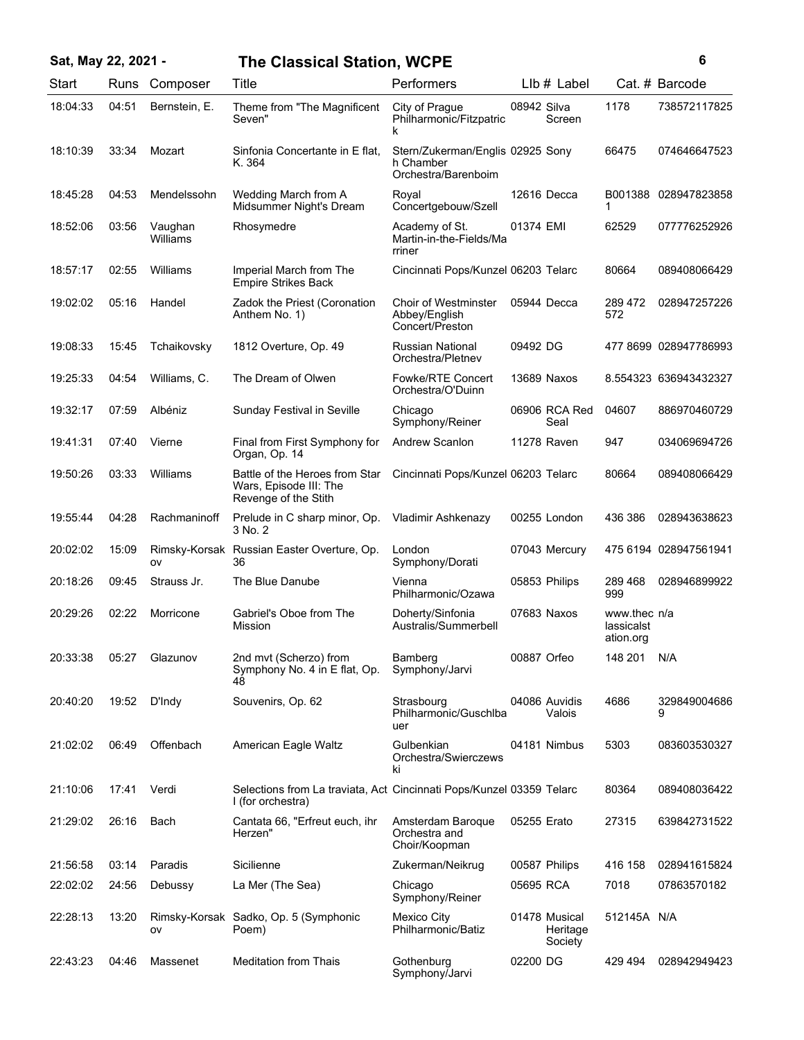| Sat, May 22, 2021 - |       |                     | <b>The Classical Station, WCPE</b>                                                        |                                                                      |             |                                      |                                         | 6                     |
|---------------------|-------|---------------------|-------------------------------------------------------------------------------------------|----------------------------------------------------------------------|-------------|--------------------------------------|-----------------------------------------|-----------------------|
| Start               | Runs  | Composer            | Title                                                                                     | Performers                                                           |             | $Llb \#$ Label                       |                                         | Cat. # Barcode        |
| 18:04:33            | 04:51 | Bernstein, E.       | Theme from "The Magnificent<br>Seven"                                                     | City of Prague<br>Philharmonic/Fitzpatric<br>k                       | 08942 Silva | Screen                               | 1178                                    | 738572117825          |
| 18:10:39            | 33:34 | Mozart              | Sinfonia Concertante in E flat,<br>K. 364                                                 | Stern/Zukerman/Englis 02925 Sony<br>h Chamber<br>Orchestra/Barenboim |             |                                      | 66475                                   | 074646647523          |
| 18:45:28            | 04:53 | Mendelssohn         | Wedding March from A<br>Midsummer Night's Dream                                           | Royal<br>Concertgebouw/Szell                                         |             | 12616 Decca                          | B001388<br>1                            | 028947823858          |
| 18:52:06            | 03:56 | Vaughan<br>Williams | Rhosymedre                                                                                | Academy of St.<br>Martin-in-the-Fields/Ma<br>rriner                  | 01374 EMI   |                                      | 62529                                   | 077776252926          |
| 18:57:17            | 02:55 | Williams            | Imperial March from The<br><b>Empire Strikes Back</b>                                     | Cincinnati Pops/Kunzel 06203 Telarc                                  |             |                                      | 80664                                   | 089408066429          |
| 19:02:02            | 05:16 | Handel              | Zadok the Priest (Coronation<br>Anthem No. 1)                                             | <b>Choir of Westminster</b><br>Abbey/English<br>Concert/Preston      |             | 05944 Decca                          | 289 472<br>572                          | 028947257226          |
| 19:08:33            | 15:45 | Tchaikovsky         | 1812 Overture, Op. 49                                                                     | <b>Russian National</b><br>Orchestra/Pletnev                         | 09492 DG    |                                      |                                         | 477 8699 028947786993 |
| 19:25:33            | 04:54 | Williams, C.        | The Dream of Olwen                                                                        | <b>Fowke/RTE Concert</b><br>Orchestra/O'Duinn                        |             | 13689 Naxos                          |                                         | 8.554323 636943432327 |
| 19:32:17            | 07:59 | Albéniz             | Sunday Festival in Seville                                                                | Chicago<br>Symphony/Reiner                                           |             | 06906 RCA Red<br>Seal                | 04607                                   | 886970460729          |
| 19:41:31            | 07:40 | Vierne              | Final from First Symphony for<br>Organ, Op. 14                                            | <b>Andrew Scanlon</b>                                                |             | 11278 Raven                          | 947                                     | 034069694726          |
| 19:50:26            | 03:33 | Williams            | Battle of the Heroes from Star<br>Wars, Episode III: The<br>Revenge of the Stith          | Cincinnati Pops/Kunzel 06203 Telarc                                  |             |                                      | 80664                                   | 089408066429          |
| 19:55:44            | 04:28 | Rachmaninoff        | Prelude in C sharp minor, Op.<br>3 No. 2                                                  | Vladimir Ashkenazy                                                   |             | 00255 London                         | 436 386                                 | 028943638623          |
| 20:02:02            | 15:09 | ov                  | Rimsky-Korsak Russian Easter Overture, Op.<br>36                                          | London<br>Symphony/Dorati                                            |             | 07043 Mercury                        |                                         | 475 6194 028947561941 |
| 20:18:26            | 09:45 | Strauss Jr.         | The Blue Danube                                                                           | Vienna<br>Philharmonic/Ozawa                                         |             | 05853 Philips                        | 289 468<br>999                          | 028946899922          |
| 20:29:26            | 02:22 | Morricone           | Gabriel's Oboe from The<br>Mission                                                        | Doherty/Sinfonia<br>Australis/Summerbell                             |             | 07683 Naxos                          | www.thec n/a<br>lassicalst<br>ation.org |                       |
| 20:33:38            | 05:27 | Glazunov            | 2nd mvt (Scherzo) from<br>Symphony No. 4 in E flat, Op.<br>48                             | Bamberg<br>Symphony/Jarvi                                            | 00887 Orfeo |                                      | 148 201                                 | N/A                   |
| 20:40:20            | 19:52 | D'Indy              | Souvenirs, Op. 62                                                                         | Strasbourg<br>Philharmonic/Guschlba<br>uer                           |             | 04086 Auvidis<br>Valois              | 4686                                    | 329849004686<br>9     |
| 21:02:02            | 06:49 | Offenbach           | American Eagle Waltz                                                                      | Gulbenkian<br>Orchestra/Swierczews<br>ki                             |             | 04181 Nimbus                         | 5303                                    | 083603530327          |
| 21:10:06            | 17:41 | Verdi               | Selections from La traviata, Act Cincinnati Pops/Kunzel 03359 Telarc<br>I (for orchestra) |                                                                      |             |                                      | 80364                                   | 089408036422          |
| 21:29:02            | 26:16 | Bach                | Cantata 66, "Erfreut euch, ihr<br>Herzen"                                                 | Amsterdam Baroque<br>Orchestra and<br>Choir/Koopman                  | 05255 Erato |                                      | 27315                                   | 639842731522          |
| 21:56:58            | 03:14 | Paradis             | Sicilienne                                                                                | Zukerman/Neikrug                                                     |             | 00587 Philips                        | 416 158                                 | 028941615824          |
| 22:02:02            | 24:56 | Debussy             | La Mer (The Sea)                                                                          | Chicago<br>Symphony/Reiner                                           | 05695 RCA   |                                      | 7018                                    | 07863570182           |
| 22:28:13            | 13:20 | ov                  | Rimsky-Korsak Sadko, Op. 5 (Symphonic<br>Poem)                                            | Mexico City<br>Philharmonic/Batiz                                    |             | 01478 Musical<br>Heritage<br>Society | 512145A N/A                             |                       |
| 22:43:23            | 04:46 | Massenet            | <b>Meditation from Thais</b>                                                              | Gothenburg<br>Symphony/Jarvi                                         | 02200 DG    |                                      | 429 494                                 | 028942949423          |